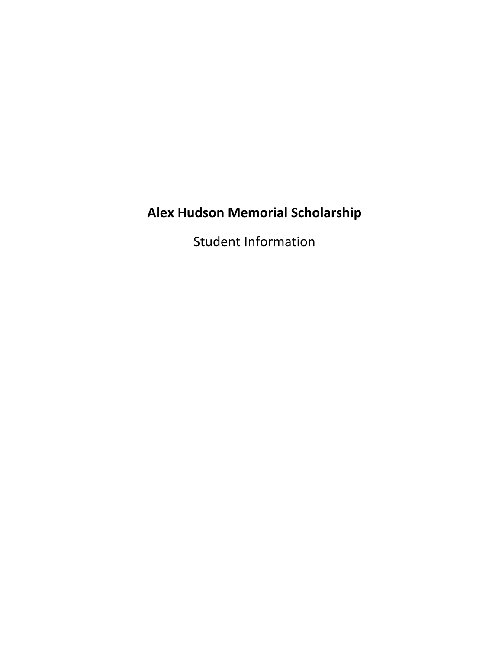# **Alex Hudson Memorial Scholarship**

Student Information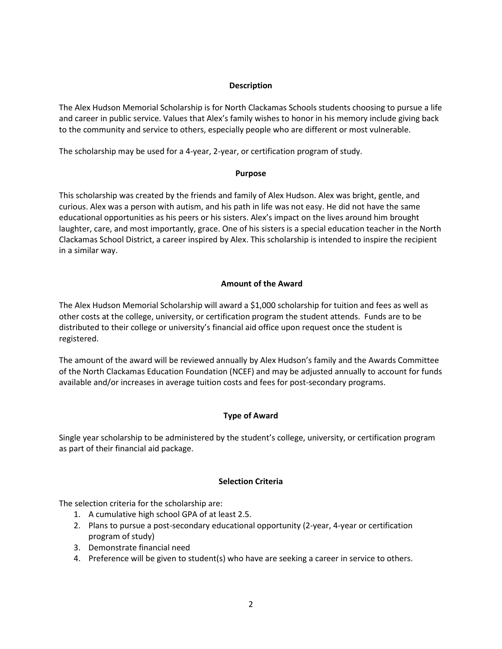# **Description**

The Alex Hudson Memorial Scholarship is for North Clackamas Schools students choosing to pursue a life and career in public service. Values that Alex's family wishes to honor in his memory include giving back to the community and service to others, especially people who are different or most vulnerable.

The scholarship may be used for a 4-year, 2-year, or certification program of study.

## **Purpose**

This scholarship was created by the friends and family of Alex Hudson. Alex was bright, gentle, and curious. Alex was a person with autism, and his path in life was not easy. He did not have the same educational opportunities as his peers or his sisters. Alex's impact on the lives around him brought laughter, care, and most importantly, grace. One of his sisters is a special education teacher in the North Clackamas School District, a career inspired by Alex. This scholarship is intended to inspire the recipient in a similar way.

# **Amount of the Award**

The Alex Hudson Memorial Scholarship will award a \$1,000 scholarship for tuition and fees as well as other costs at the college, university, or certification program the student attends. Funds are to be distributed to their college or university's financial aid office upon request once the student is registered.

The amount of the award will be reviewed annually by Alex Hudson's family and the Awards Committee of the North Clackamas Education Foundation (NCEF) and may be adjusted annually to account for funds available and/or increases in average tuition costs and fees for post-secondary programs.

# **Type of Award**

Single year scholarship to be administered by the student's college, university, or certification program as part of their financial aid package.

# **Selection Criteria**

The selection criteria for the scholarship are:

- 1. A cumulative high school GPA of at least 2.5.
- 2. Plans to pursue a post-secondary educational opportunity (2-year, 4-year or certification program of study)
- 3. Demonstrate financial need
- 4. Preference will be given to student(s) who have are seeking a career in service to others.